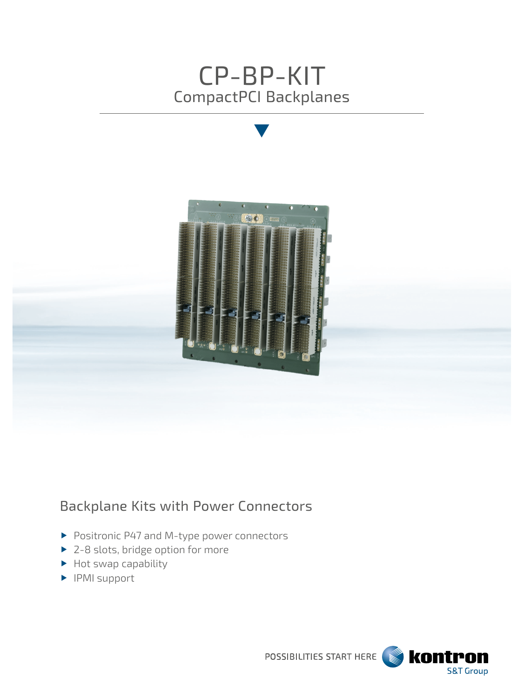



# Backplane Kits with Power Connectors

- Positronic P47 and M-type power connectors
- ▶ 2-8 slots, bridge option for more
- $\blacktriangleright$  Hot swap capability
- **PMI** support

POSSIBILITIES START HERE **SEE KONTPON S&T Group**